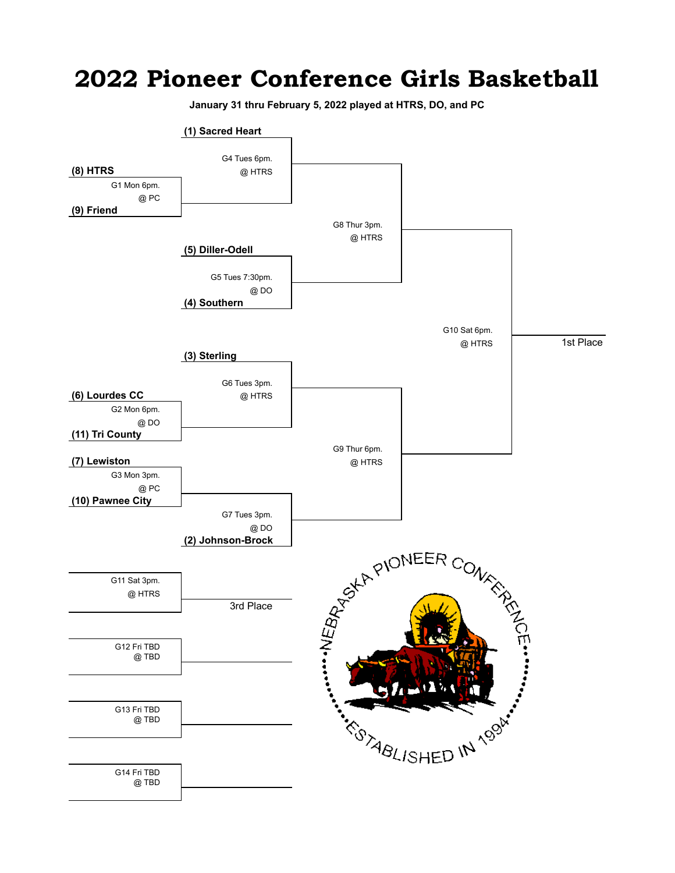## **2022 Pioneer Conference Girls Basketball**

**January 31 thru February 5, 2022 played at HTRS, DO, and PC**